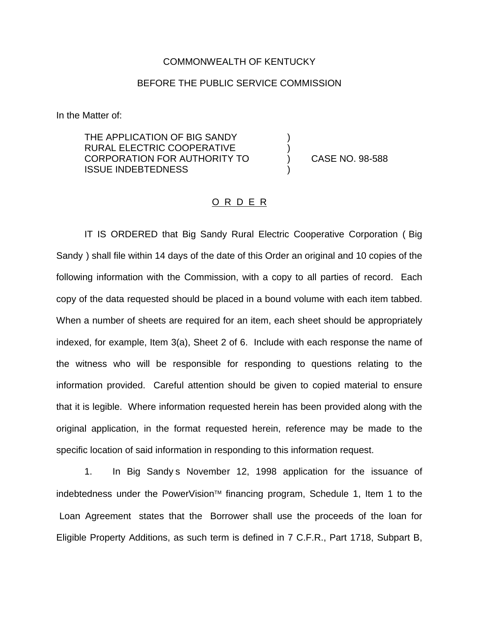## COMMONWEALTH OF KENTUCKY

## BEFORE THE PUBLIC SERVICE COMMISSION

) )

)

In the Matter of:

THE APPLICATION OF BIG SANDY RURAL ELECTRIC COOPERATIVE CORPORATION FOR AUTHORITY TO ISSUE INDEBTEDNESS

) CASE NO. 98-588

## O R D E R

IT IS ORDERED that Big Sandy Rural Electric Cooperative Corporation ( Big Sandy ) shall file within 14 days of the date of this Order an original and 10 copies of the following information with the Commission, with a copy to all parties of record. Each copy of the data requested should be placed in a bound volume with each item tabbed. When a number of sheets are required for an item, each sheet should be appropriately indexed, for example, Item 3(a), Sheet 2 of 6. Include with each response the name of the witness who will be responsible for responding to questions relating to the information provided. Careful attention should be given to copied material to ensure that it is legible. Where information requested herein has been provided along with the original application, in the format requested herein, reference may be made to the specific location of said information in responding to this information request.

1. In Big Sandy s November 12, 1998 application for the issuance of indebtedness under the PowerVision<sup>™</sup> financing program, Schedule 1, Item 1 to the Loan Agreement states that the Borrower shall use the proceeds of the loan for Eligible Property Additions, as such term is defined in 7 C.F.R., Part 1718, Subpart B,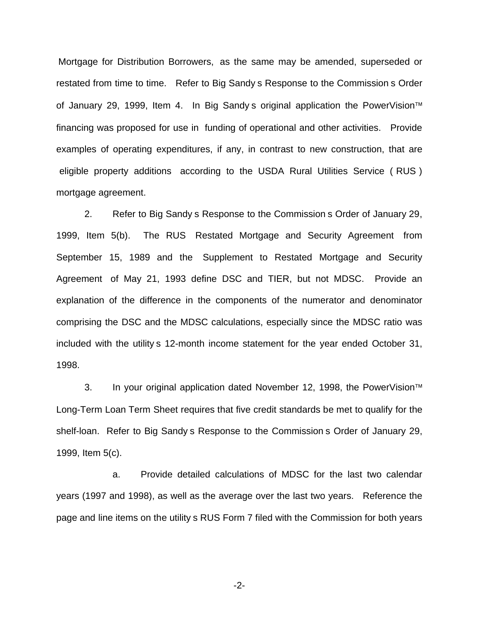Mortgage for Distribution Borrowers, as the same may be amended, superseded or restated from time to time. Refer to Big Sandy s Response to the Commission s Order of January 29, 1999, Item 4. In Big Sandy s original application the PowerVision<sup>™</sup> financing was proposed for use in funding of operational and other activities. Provide examples of operating expenditures, if any, in contrast to new construction, that are eligible property additions according to the USDA Rural Utilities Service ( RUS ) mortgage agreement.

2. Refer to Big Sandy s Response to the Commission s Order of January 29, 1999, Item 5(b). The RUS Restated Mortgage and Security Agreement from September 15, 1989 and the Supplement to Restated Mortgage and Security Agreement of May 21, 1993 define DSC and TIER, but not MDSC. Provide an explanation of the difference in the components of the numerator and denominator comprising the DSC and the MDSC calculations, especially since the MDSC ratio was included with the utility s 12-month income statement for the year ended October 31, 1998.

3. In your original application dated November 12, 1998, the PowerVision<sup>™</sup> Long-Term Loan Term Sheet requires that five credit standards be met to qualify for the shelf-loan. Refer to Big Sandy s Response to the Commission s Order of January 29, 1999, Item 5(c).

a. Provide detailed calculations of MDSC for the last two calendar years (1997 and 1998), as well as the average over the last two years. Reference the page and line items on the utility s RUS Form 7 filed with the Commission for both years

-2-